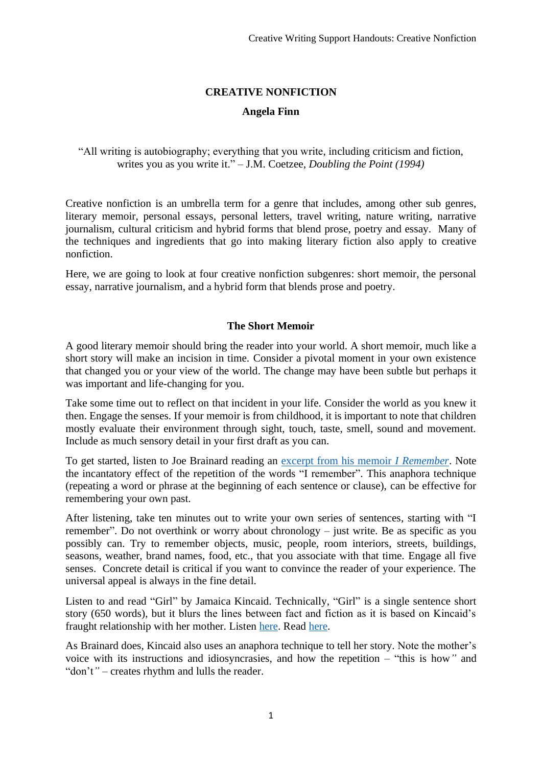# **CREATIVE NONFICTION**

## **Angela Finn**

### "All writing is autobiography; everything that you write, including criticism and fiction, writes you as you write it." – J.M. Coetzee, *Doubling the Point (1994)*

Creative nonfiction is an umbrella term for a genre that includes, among other sub genres, literary memoir, personal essays, personal letters, travel writing, nature writing, narrative journalism, cultural criticism and hybrid forms that blend prose, poetry and essay. Many of the techniques and ingredients that go into making literary fiction also apply to creative nonfiction.

Here, we are going to look at four creative nonfiction subgenres: short memoir, the personal essay, narrative journalism, and a hybrid form that blends prose and poetry.

#### **The Short Memoir**

A good literary memoir should bring the reader into your world. A short memoir, much like a short story will make an incision in time. Consider a pivotal moment in your own existence that changed you or your view of the world. The change may have been subtle but perhaps it was important and life-changing for you.

Take some time out to reflect on that incident in your life. Consider the world as you knew it then. Engage the senses. If your memoir is from childhood, it is important to note that children mostly evaluate their environment through sight, touch, taste, smell, sound and movement. Include as much sensory detail in your first draft as you can.

To get started, listen to Joe Brainard reading an [excerpt from his memoir](https://soundcloud.com/russ-wade-1/i-remember-excerpt-july-70) *I Remember*. Note the incantatory effect of the repetition of the words "I remember". This anaphora technique (repeating a word or phrase at the beginning of each sentence or clause), can be effective for remembering your own past.

After listening, take ten minutes out to write your own series of sentences, starting with "I remember". Do not overthink or worry about chronology – just write. Be as specific as you possibly can. Try to remember objects, music, people, room interiors, streets, buildings, seasons, weather, brand names, food, etc., that you associate with that time. Engage all five senses. Concrete detail is critical if you want to convince the reader of your experience. The universal appeal is always in the fine detail.

Listen to and read "Girl" by Jamaica Kincaid. Technically, "Girl" is a single sentence short story (650 words), but it blurs the lines between fact and fiction as it is based on Kincaid's fraught relationship with her mother. Listen [here.](https://www.youtube.com/watch?v=AHr1HYW0mKE) Read [here.](https://www.newyorker.com/magazine/1978/06/26/girl)

As Brainard does, Kincaid also uses an anaphora technique to tell her story. Note the mother's voice with its instructions and idiosyncrasies, and how the repetition – "this is how*"* and "don't*"* – creates rhythm and lulls the reader.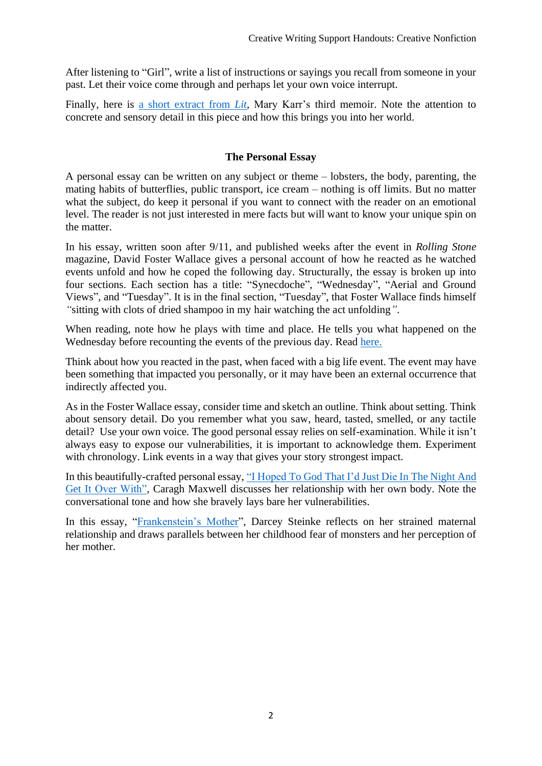After listening to "Girl", write a list of instructions or sayings you recall from someone in your past. Let their voice come through and perhaps let your own voice interrupt.

Finally, here is a short [extract from](https://abcnews.go.com/2020/lit-mary-karr-memoir-book-excerpt/story?id=10479445) *Lit,* Mary Karr's third memoir. Note the attention to concrete and sensory detail in this piece and how this brings you into her world.

### **The Personal Essay**

A personal essay can be written on any subject or theme – lobsters, the body, parenting, the mating habits of butterflies, public transport, ice cream – nothing is off limits. But no matter what the subject, do keep it personal if you want to connect with the reader on an emotional level. The reader is not just interested in mere facts but will want to know your unique spin on the matter.

In his essay, written soon after 9/11, and published weeks after the event in *Rolling Stone*  magazine, David Foster Wallace gives a personal account of how he reacted as he watched events unfold and how he coped the following day. Structurally, the essay is broken up into four sections. Each section has a title: "Synecdoche", "Wednesday", "Aerial and Ground Views", and "Tuesday". It is in the final section, "Tuesday", that Foster Wallace finds himself *"*sitting with clots of dried shampoo in my hair watching the act unfolding*"*.

When reading, note how he plays with time and place. He tells you what happened on the Wednesday before recounting the events of the previous day. Read [here.](https://www.rollingstone.com/feature/david-foster-wallace-on-9-11-as-seen-from-the-midwest-242422/)

Think about how you reacted in the past, when faced with a big life event. The event may have been something that impacted you personally, or it may have been an external occurrence that indirectly affected you.

As in the Foster Wallace essay, consider time and sketch an outline. Think about setting. Think about sensory detail. Do you remember what you saw, heard, tasted, smelled, or any tactile detail? Use your own voice. The good personal essay relies on self-examination. While it isn't always easy to expose our vulnerabilities, it is important to acknowledge them. Experiment with chronology. Link events in a way that gives your story strongest impact.

In this beautifully-crafted personal essay, "I Hoped To God That [I'd Just Die In The Night And](https://www.irishtimes.com/culture/books/i-hoped-to-god-that-i-d-just-die-in-the-night-and-get-it-over-with-1.3781474)  [Get It Over With",](https://www.irishtimes.com/culture/books/i-hoped-to-god-that-i-d-just-die-in-the-night-and-get-it-over-with-1.3781474) Caragh Maxwell discusses her relationship with her own body. Note the conversational tone and how she bravely lays bare her vulnerabilities.

In this essay, ["Frankenstein's Mother"](https://granta.com/frankensteins-mother/), Darcey Steinke reflects on her strained maternal relationship and draws parallels between her childhood fear of monsters and her perception of her mother.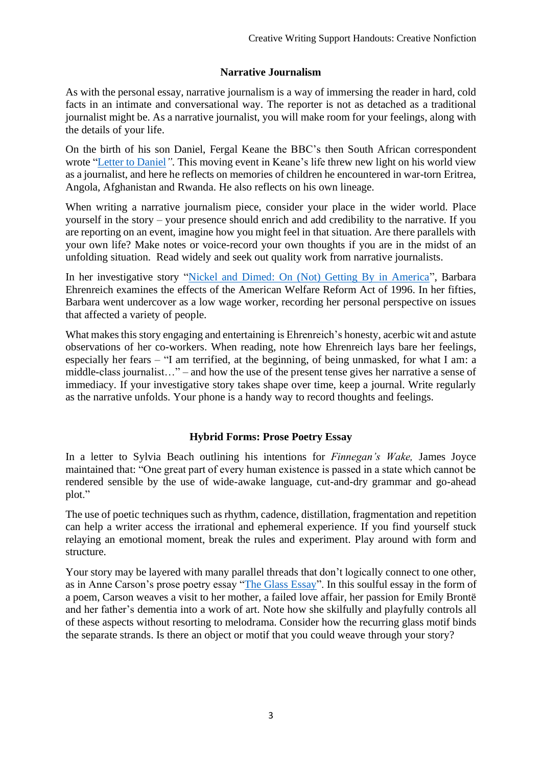# **Narrative Journalism**

As with the personal essay, narrative journalism is a way of immersing the reader in hard, cold facts in an intimate and conversational way. The reporter is not as detached as a traditional journalist might be. As a narrative journalist, you will make room for your feelings, along with the details of your life.

On the birth of his son Daniel, Fergal Keane the BBC's then South African correspondent wrote ["Letter to Daniel](https://www.pbs.org/wgbh/pages/frontline/shows/rwanda/todaniel/)*".* This moving event in Keane's life threw new light on his world view as a journalist, and here he reflects on memories of children he encountered in war-torn Eritrea, Angola, Afghanistan and Rwanda. He also reflects on his own lineage.

When writing a narrative journalism piece, consider your place in the wider world. Place yourself in the story – your presence should enrich and add credibility to the narrative. If you are reporting on an event, imagine how you might feel in that situation. Are there parallels with your own life? Make notes or voice-record your own thoughts if you are in the midst of an unfolding situation. Read widely and seek out quality work from narrative journalists.

In her investigative story ["Nickel and Dimed: On \(Not\) Getting By in America"](https://www.wesjones.com/ehrenreich.htm), Barbara Ehrenreich examines the effects of the American Welfare Reform Act of 1996. In her fifties, Barbara went undercover as a low wage worker, recording her personal perspective on issues that affected a variety of people.

What makes this story engaging and entertaining is Ehrenreich's honesty, acerbic wit and astute observations of her co-workers. When reading, note how Ehrenreich lays bare her feelings, especially her fears – "I am terrified, at the beginning, of being unmasked, for what I am: a middle-class journalist…" – and how the use of the present tense gives her narrative a sense of immediacy. If your investigative story takes shape over time, keep a journal. Write regularly as the narrative unfolds. Your phone is a handy way to record thoughts and feelings.

# **Hybrid Forms: Prose Poetry Essay**

In a letter to Sylvia Beach outlining his intentions for *Finnegan's Wake,* James Joyce maintained that: "One great part of every human existence is passed in a state which cannot be rendered sensible by the use of wide-awake language, cut-and-dry grammar and go-ahead plot."

The use of poetic techniques such as rhythm, cadence, distillation, fragmentation and repetition can help a writer access the irrational and ephemeral experience. If you find yourself stuck relaying an emotional moment, break the rules and experiment. Play around with form and structure.

Your story may be layered with many parallel threads that don't logically connect to one other, as in Anne Carson's prose poetry essay ["The Glass Essay"](https://www.poetryfoundation.org/poems/48636/the-glass-essay). In this soulful essay in the form of a poem, Carson weaves a visit to her mother, a failed love affair, her passion for Emily Brontë and her father's dementia into a work of art. Note how she skilfully and playfully controls all of these aspects without resorting to melodrama. Consider how the recurring glass motif binds the separate strands. Is there an object or motif that you could weave through your story?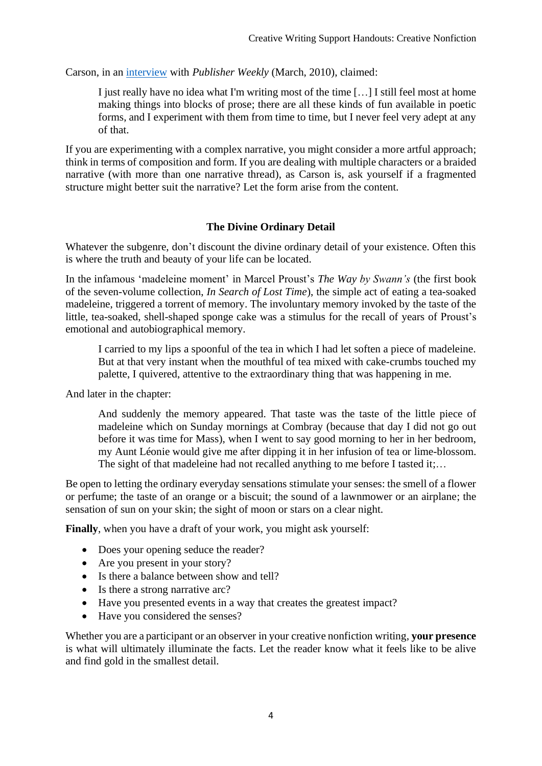Carson, in an [interview](https://www.publishersweekly.com/pw/by-topic/authors/interviews/article/42582-a-classical-poet-redux-pw-profiles-anne-carson.html) with *Publisher Weekly* (March, 2010), claimed:

I just really have no idea what I'm writing most of the time […] I still feel most at home making things into blocks of prose; there are all these kinds of fun available in poetic forms, and I experiment with them from time to time, but I never feel very adept at any of that.

If you are experimenting with a complex narrative, you might consider a more artful approach; think in terms of composition and form. If you are dealing with multiple characters or a braided narrative (with more than one narrative thread), as Carson is, ask yourself if a fragmented structure might better suit the narrative? Let the form arise from the content.

## **The Divine Ordinary Detail**

Whatever the subgenre, don't discount the divine ordinary detail of your existence. Often this is where the truth and beauty of your life can be located.

In the infamous 'madeleine moment' in Marcel Proust's *The Way by Swann's* (the first book of the seven-volume collection, *In Search of Lost Time*), the simple act of eating a tea-soaked madeleine, triggered a torrent of memory. The involuntary memory invoked by the taste of the little, tea-soaked, shell-shaped sponge cake was a stimulus for the recall of years of Proust's emotional and autobiographical memory.

I carried to my lips a spoonful of the tea in which I had let soften a piece of madeleine. But at that very instant when the mouthful of tea mixed with cake-crumbs touched my palette, I quivered, attentive to the extraordinary thing that was happening in me.

And later in the chapter:

And suddenly the memory appeared. That taste was the taste of the little piece of madeleine which on Sunday mornings at Combray (because that day I did not go out before it was time for Mass), when I went to say good morning to her in her bedroom, my Aunt Léonie would give me after dipping it in her infusion of tea or lime-blossom. The sight of that madeleine had not recalled anything to me before I tasted it;...

Be open to letting the ordinary everyday sensations stimulate your senses: the smell of a flower or perfume; the taste of an orange or a biscuit; the sound of a lawnmower or an airplane; the sensation of sun on your skin; the sight of moon or stars on a clear night.

**Finally**, when you have a draft of your work, you might ask yourself:

- Does your opening seduce the reader?
- Are you present in your story?
- Is there a balance between show and tell?
- Is there a strong narrative arc?
- Have you presented events in a way that creates the greatest impact?
- Have you considered the senses?

Whether you are a participant or an observer in your creative nonfiction writing, **your presence** is what will ultimately illuminate the facts. Let the reader know what it feels like to be alive and find gold in the smallest detail.